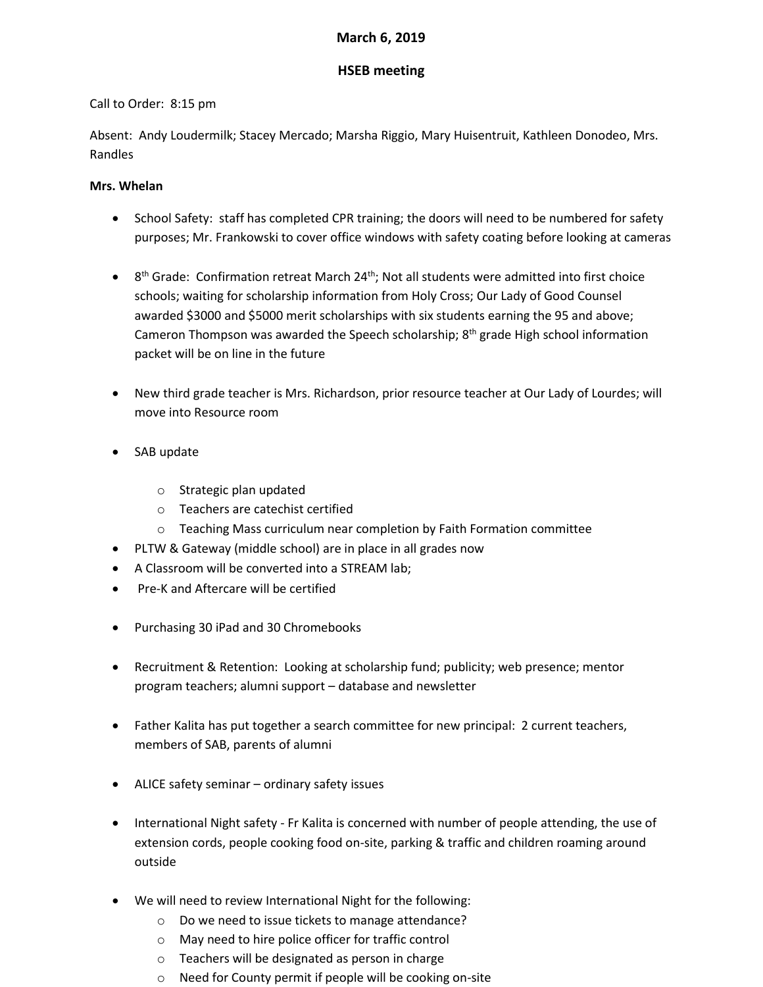### **March 6, 2019**

# **HSEB meeting**

## Call to Order: 8:15 pm

Absent: Andy Loudermilk; Stacey Mercado; Marsha Riggio, Mary Huisentruit, Kathleen Donodeo, Mrs. Randles

## **Mrs. Whelan**

- School Safety: staff has completed CPR training; the doors will need to be numbered for safety purposes; Mr. Frankowski to cover office windows with safety coating before looking at cameras
- $\bullet$  8<sup>th</sup> Grade: Confirmation retreat March 24<sup>th</sup>; Not all students were admitted into first choice schools; waiting for scholarship information from Holy Cross; Our Lady of Good Counsel awarded \$3000 and \$5000 merit scholarships with six students earning the 95 and above; Cameron Thompson was awarded the Speech scholarship;  $8<sup>th</sup>$  grade High school information packet will be on line in the future
- New third grade teacher is Mrs. Richardson, prior resource teacher at Our Lady of Lourdes; will move into Resource room
- SAB update
	- o Strategic plan updated
	- o Teachers are catechist certified
	- $\circ$  Teaching Mass curriculum near completion by Faith Formation committee
- PLTW & Gateway (middle school) are in place in all grades now
- A Classroom will be converted into a STREAM lab;
- Pre-K and Aftercare will be certified
- Purchasing 30 iPad and 30 Chromebooks
- Recruitment & Retention: Looking at scholarship fund; publicity; web presence; mentor program teachers; alumni support – database and newsletter
- Father Kalita has put together a search committee for new principal: 2 current teachers, members of SAB, parents of alumni
- ALICE safety seminar ordinary safety issues
- International Night safety Fr Kalita is concerned with number of people attending, the use of extension cords, people cooking food on-site, parking & traffic and children roaming around outside
- We will need to review International Night for the following:
	- o Do we need to issue tickets to manage attendance?
	- o May need to hire police officer for traffic control
	- o Teachers will be designated as person in charge
	- o Need for County permit if people will be cooking on-site